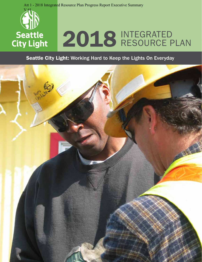



# Seattle 2018 INTEGRATED City Light

## Seattle City Light: Working Hard to Keep the Lights On Everyday

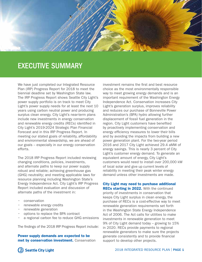

## EXECUTIVE SUMMARY

We have just completed our Integrated Resource Plan (IRP) Progress Report for 2018 to meet the biennial deadline set by Washington State law. The IRP Progress Report shows Seattle City Light's power supply portfolio is on track to meet City Light's power supply needs for at least the next 10 years using carbon neutral power and producing surplus clean energy. City Light's near-term plans include new investments in energy conservation and renewable energy credits (RECs) identified in City Light's 2019-2024 Strategic Plan Financial Forecast and in this IRP Progress Report. In meeting our stated goals of reliability, affordability and environmental stewardship, we are ahead of our goals – especially in our energy conservation efforts.

The 2018 IRP Progress Report included reviewing changing conditions, policies, investments, and alternate paths to keep our power supply robust and reliable; achieving greenhouse gas (GHG) neutrality; and meeting applicable laws for resource planning including Washington State's Energy Independence Act. City Light's IRP Progress Report included evaluation and discussion of alternate paths of the investment in:

- conservation
- renewable energy credits
- renewable generation
- options to replace the BPA contract
- a regional carbon fee to reduce GHG emissions

The findings of the 2018 IRP Progress Report include:

Power supply demands are expected to be met by conservation investment. Conservation investment remains the first and best resource choice as the most environmentally responsible way to meet growing energy demands and is an important requirement of the Washington Energy Independence Act. Conservation increases City Light's generation surplus, improves reliability and reduces our purchase of Bonneville Power Administration's (BPA) hydro allowing further displacement of fossil fuel generation in the region. City Light customers have benefited by proactively implementing conservation and energy efficiency measures to lower their bills and by avoiding the impacts from building a new power generation plant. For the two-year period 2016 and 2017 City Light achieved 29.4 aMW of energy savings. This is nearly 3 percent of City Light's customer energy demand. To generate an equivalent amount of energy, City Light's customers would need to install over 200,000 kW of local solar and give up current levels of reliability in meeting their peak winter energy demand unless other investments are made.

#### City Light may need to purchase additional

**RECs starting in 2022.** With the continued priority of investments in conservation that keeps City Light surplus in clean energy, the purchase of RECs is a cost-effective way to meet renewable generation requirements set forth in the Washington State Energy Independence Act of 2006. The Act calls for utilities to make investments in renewable generation to meet 9% of City Light demand today – growing to 15% in 2020. RECs provide payments to regional renewable generators to make sure the projects generate consistently and to provide financial support to develop other projects.

**CID** Seattle City Light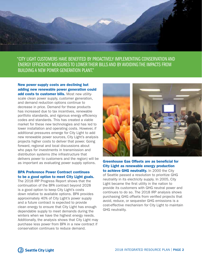

"CITY LIGHT CUSTOMERS HAVE BENEFITED BY PROACTIVELY IMPLEMENTING CONSERVATION AND ENERGY EFFICIENCY MEASURES TO LOWER THEIR BILLS AND BY AVOIDING THE IMPACTS FROM BUILDING A NEW POWER GENERATION PLANT."

New power supply costs are declining but adding new renewable power generation could add costs to customer bills. Most new utilityscale clean power supply, customer generation, and demand reduction options continue to decrease in price. Demand for these products has increased due to tax incentives, renewable portfolio standards, and rigorous energy efficiency codes and standards. This has created a viable market for these new technologies and has led to lower installation and operating costs. However, if additional pressures emerge for City Light to add new renewable power sources, City Light's analysis projects higher costs to deliver that power. Going forward, regional and local discussions about who pays for investments in transmission and distribution systems (the infrastructure that delivers power to customers and the region) will be as important as evaluating power supply options.

## BPA Preference Power Contract continues to be a good option to meet City Light goals.

The 2018 IRP Progress Report shows that the continuation of the BPA contract beyond 2028 is a good option to keep City Light's costs down relative to available options. BPA provides approximately 40% of City Light's power supply and a future contract is expected to provide clean energy to ensure that City Light has enough dependable supply to meet demands during the winters when we have the highest energy needs. Additionally, the analysis shows that City Light may purchase less power from BPA in a new contract if conservation continues to reduce demand.



Greenhouse Gas Offsets are as beneficial for City Light as renewable energy production to achieve GHG neutrality. In 2000 the City of Seattle passed a resolution to prioritize GHG neutrality in its electricity supply. In 2005, City Light became the first utility in the nation to provide its customers with GHG neutral power and continues to do so. The 2018 IRP analysis shows purchasing GHG offsets from verified projects that avoid, reduce, or sequester GHG emissions is a cost-effective mechanism for City Light to maintain GHG neutrality.

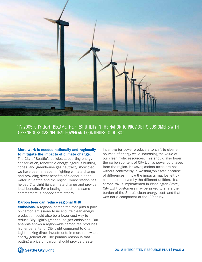

"IN 2005, CITY LIGHT BECAME THE FIRST UTILITY IN THE NATION TO PROVIDE ITS CUSTOMERS WITH GREENHOUSE GAS NEUTRAL POWER AND CONTINUES TO DO SO."

## More work is needed nationally and regionally to mitigate the impacts of climate change.

The City of Seattle's policies supporting energy conservation, renewable energy, rigorous building codes, and greenhouse gas neutrality show that we have been a leader in fighting climate change and providing direct benefits of cleaner air and water in Seattle and the region. Conservation has helped City Light fight climate change and provide local benefits. For a lasting impact, this same commitment is needed from others.

### Carbon fees can reduce regional GHG

**emissions.** A regional carbon fee that puts a price on carbon emissions to incentivize clean energy production could also be a lower cost way to reduce City Light's greenhouse gas emissions. Our analysis shows a region-wide carbon fee produces higher benefits for City Light compared to City Light making direct investments in more renewable energy generation. The primary reason is that putting a price on carbon should provide greater

incentive for power producers to shift to cleaner sources of energy while increasing the value of our clean hydro resources. This should also lower the carbon content of City Light's power purchases from the region. However, carbon taxes are not without controversy in Washington State because of differences in how the impacts may be felt by consumers served by the different utilities. If a carbon tax is implemented in Washington State, City Light customers may be asked to share the burden of the State's clean energy cost, and that was not a component of the IRP study.

**Cill** Seattle City Light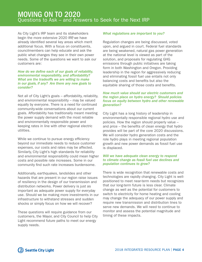## MOVING ON TO 2020 Questions to Ask – and Answers to Seek for the Next IRP

As City Light's IRP team and its stakeholders begin the more extensive 2020 IRP, we have already identified several key areas which merit additional focus. With a focus on constituents, councilmembers can help educate and ask the public what changes they see in their own power needs. Some of the questions we want to ask our customers are:

## *How do we define each of our goals of reliability, environmental responsibility, and affordability? What are the tradeoffs we are willing to make in our goals, if any? Are there any new goals to consider?*

Not all of City Light's goals – affordability, reliability, and environmental responsibility – may be valued equally by everyone. There is a need for continued community-wide conversations about our current goals. Affordability has traditionally meant meeting the power supply demand with the most reliable and environmentally responsible power and keeping rates in line with other regional electric utilities.

While we continue to pursue energy efficiency beyond our immediate needs to reduce customer expenses, our costs and rates may be affected. Similarly, City Light's high standards for reliability and environmental responsibility could mean higher costs and possible rate increases. Some in our community find such rate increases burdensome.

Additionally, earthquakes, landslides and other hazards that are present in our region raise issues of resiliency in the design of our transmission and distribution networks. Power delivery is just as important as adequate power supply for everyday use. Should we be making more investments in our infrastructure to withstand stresses and sudden shocks or simply focus on how we will recover?

These questions will require guidance from our customers, the Mayor, and City Council to help City Light recommend future paths to meet our energy supply needs.

## *What regulations are important to you?*

Regulation changes are being discussed, voted upon, and argued in court. Federal fuel standards are being weakened, natural gas power generation at the national level is viewed as part of the solution, and proposals for regulating GHG emissions through public initiatives are taking form in both Washington and Oregon. Providing leadership in the region for aggressively reducing and eliminating fossil fuel use entails not only balancing costs and benefits but also the equitable sharing of those costs and benefits.

## *How much value should our electric customers and the region place on hydro energy? Should policies focus on equity between hydro and other renewable generation?*

City Light has a long history of leadership in environmentally responsible regional hydro use and policies. How the region should properly value – and price – the benefits of clean energy that hydro provides will be part of the core 2020 discussions. We will consider hydro generation costs and the role hydro plays in meeting regional population growth and new power demands as fossil fuel use is displaced.

## *Will we have adequate clean energy to respond to climate change as fossil fuel use declines and population continues to grow?*

There is wide recognition that renewable costs and technologies are rapidly changing. City Light is wellpositioned to meet near-term needs but recognizes that our long-term future is less clear. Climate change as well as the potential for customers to switch to electricity for home heating and cooling may change the adequacy of our power supply and require new transmission and distribution lines to serve new demands. We will need to continue to monitor and assess the potential magnitude and timing of these impacts.

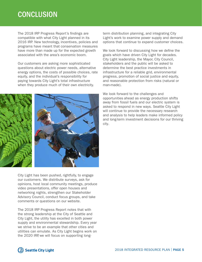# **CONCLUSION**

The 2018 IRP Progress Report's findings are compatible with what City Light planned in its 2016 IRP. New technology, incentives, policies and programs have meant that conservation measures have more than made up for the expected growth associated with the area's economic boom.

Our customers are asking more sophisticated questions about electric power needs, alternative energy options, the costs of possible choices, rate equity, and the individual's responsibility for paying towards City Light's total infrastructure when they produce much of their own electricity.



City Light has been pushed, rightfully, to engage our customers. We distribute surveys, ask for opinions, host local community meetings, produce video presentations, offer open houses and networking nights, strengthen our Stakeholder Advisory Council, conduct focus groups, and take comments or questions on our website.

The 2018 IRP Progress Report notes that with the strong leadership at the City of Seattle and City Light, the utility has excelled in both power supply and environmental stewardship. Every year we strive to be an example that other cities and utilities can emulate. As City Light begins work on the 2020 IRP, we will focus on supporting longterm distribution planning, and integrating City Light's work to examine power supply and demand options that continue to expand customer choices.

We look forward to discussing how we define the goals which have driven City Light for decades. City Light leadership, the Mayor, City Council, stakeholders and the public will be asked to determine the best practice investments in infrastructure for a reliable grid, environmental progress, promotion of social justice and equity, and reasonable protection from risks (natural or man-made).

We look forward to the challenges and opportunities ahead as energy production shifts away from fossil fuels and our electric system is asked to respond in new ways. Seattle City Light will continue to provide the necessary research and analysis to help leaders make informed policy and long-term investment decisions for our thriving city.